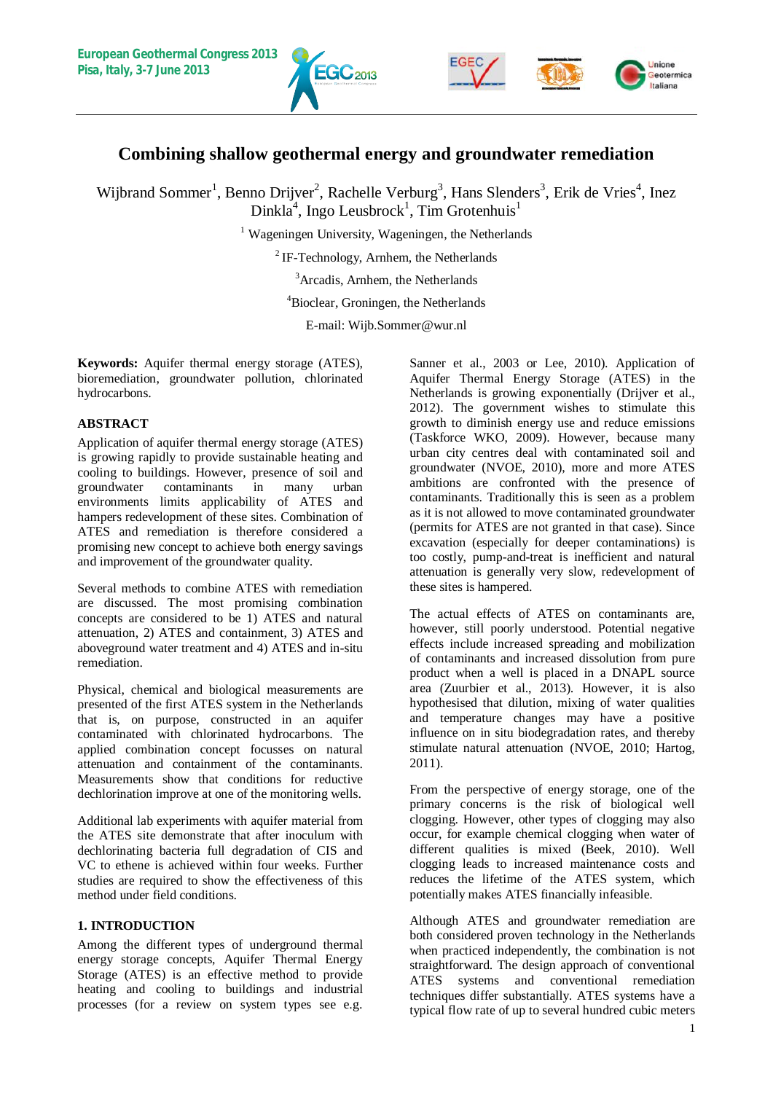



# **Combining shallow geothermal energy and groundwater remediation**

Wijbrand Sommer<sup>1</sup>, Benno Drijver<sup>2</sup>, Rachelle Verburg<sup>3</sup>, Hans Slenders<sup>3</sup>, Erik de Vries<sup>4</sup>, Inez  $Dinkla<sup>4</sup>$ , Ingo Leusbrock<sup>1</sup>, Tim Grotenhuis<sup>1</sup>

<sup>1</sup> Wageningen University, Wageningen, the Netherlands

 ${}^{2}$  IF-Technology, Arnhem, the Netherlands

<sup>3</sup>Arcadis, Arnhem, the Netherlands

<sup>4</sup>Bioclear, Groningen, the Netherlands

E-mail: Wijb.Sommer@wur.nl

**Keywords:** Aquifer thermal energy storage (ATES), bioremediation, groundwater pollution, chlorinated hydrocarbons.

# **ABSTRACT**

Application of aquifer thermal energy storage (ATES) is growing rapidly to provide sustainable heating and cooling to buildings. However, presence of soil and groundwater contaminants in many urban environments limits applicability of ATES and hampers redevelopment of these sites. Combination of ATES and remediation is therefore considered a promising new concept to achieve both energy savings and improvement of the groundwater quality.

Several methods to combine ATES with remediation are discussed. The most promising combination concepts are considered to be 1) ATES and natural attenuation, 2) ATES and containment, 3) ATES and aboveground water treatment and 4) ATES and in-situ remediation.

Physical, chemical and biological measurements are presented of the first ATES system in the Netherlands that is, on purpose, constructed in an aquifer contaminated with chlorinated hydrocarbons. The applied combination concept focusses on natural attenuation and containment of the contaminants. Measurements show that conditions for reductive dechlorination improve at one of the monitoring wells.

Additional lab experiments with aquifer material from the ATES site demonstrate that after inoculum with dechlorinating bacteria full degradation of CIS and VC to ethene is achieved within four weeks. Further studies are required to show the effectiveness of this method under field conditions.

# **1. INTRODUCTION**

Among the different types of underground thermal energy storage concepts, Aquifer Thermal Energy Storage (ATES) is an effective method to provide heating and cooling to buildings and industrial processes (for a review on system types see e.g.

Sanner et al., 2003 or Lee, 2010). Application of Aquifer Thermal Energy Storage (ATES) in the Netherlands is growing exponentially (Drijver et al., 2012). The government wishes to stimulate this growth to diminish energy use and reduce emissions (Taskforce WKO, 2009). However, because many urban city centres deal with contaminated soil and groundwater (NVOE, 2010), more and more ATES ambitions are confronted with the presence of contaminants. Traditionally this is seen as a problem as it is not allowed to move contaminated groundwater (permits for ATES are not granted in that case). Since excavation (especially for deeper contaminations) is too costly, pump-and-treat is inefficient and natural attenuation is generally very slow, redevelopment of these sites is hampered.

The actual effects of ATES on contaminants are, however, still poorly understood. Potential negative effects include increased spreading and mobilization of contaminants and increased dissolution from pure product when a well is placed in a DNAPL source area (Zuurbier et al., 2013). However, it is also hypothesised that dilution, mixing of water qualities and temperature changes may have a positive influence on in situ biodegradation rates, and thereby stimulate natural attenuation (NVOE, 2010; Hartog, 2011).

From the perspective of energy storage, one of the primary concerns is the risk of biological well clogging. However, other types of clogging may also occur, for example chemical clogging when water of different qualities is mixed (Beek, 2010). Well clogging leads to increased maintenance costs and reduces the lifetime of the ATES system, which potentially makes ATES financially infeasible.

Although ATES and groundwater remediation are both considered proven technology in the Netherlands when practiced independently, the combination is not straightforward. The design approach of conventional ATES systems and conventional remediation techniques differ substantially. ATES systems have a typical flow rate of up to several hundred cubic meters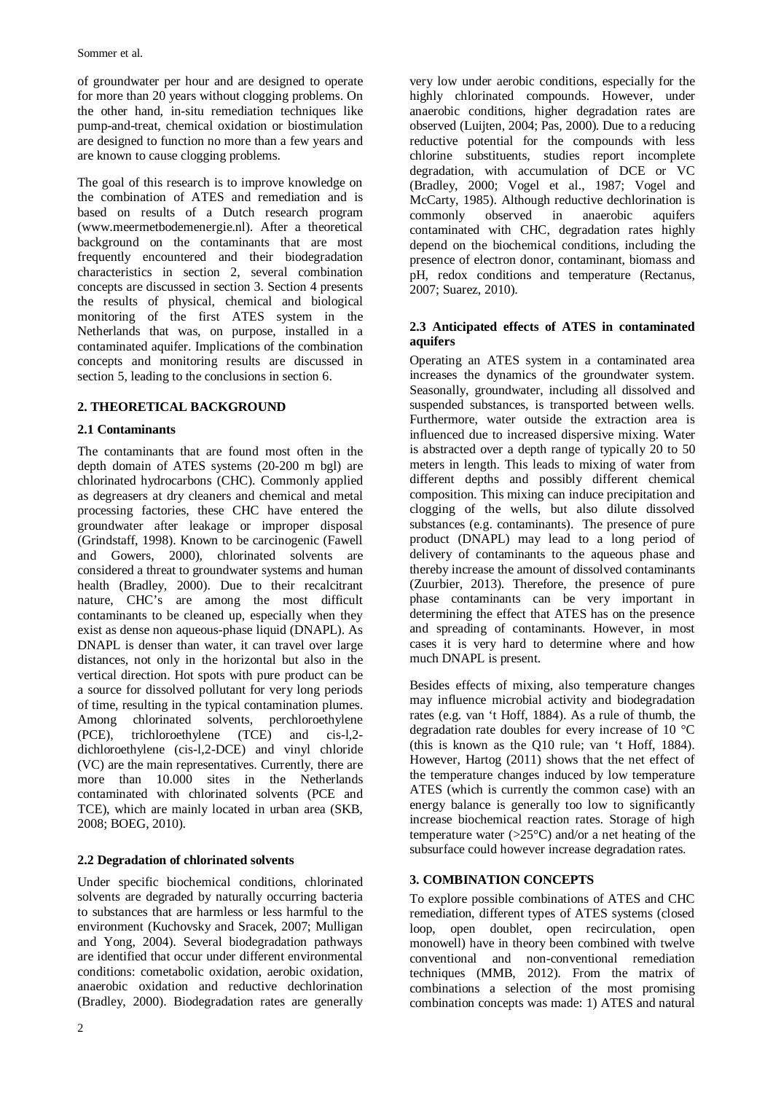of groundwater per hour and are designed to operate for more than 20 years without clogging problems. On the other hand, in-situ remediation techniques like pump-and-treat, chemical oxidation or biostimulation are designed to function no more than a few years and are known to cause clogging problems.

The goal of this research is to improve knowledge on the combination of ATES and remediation and is based on results of a Dutch research program (www.meermetbodemenergie.nl). After a theoretical background on the contaminants that are most frequently encountered and their biodegradation characteristics in section 2, several combination concepts are discussed in section 3. Section 4 presents the results of physical, chemical and biological monitoring of the first ATES system in the Netherlands that was, on purpose, installed in a contaminated aquifer. Implications of the combination concepts and monitoring results are discussed in section 5, leading to the conclusions in section 6.

# **2. THEORETICAL BACKGROUND**

## **2.1 Contaminants**

The contaminants that are found most often in the depth domain of ATES systems (20-200 m bgl) are chlorinated hydrocarbons (CHC). Commonly applied as degreasers at dry cleaners and chemical and metal processing factories, these CHC have entered the groundwater after leakage or improper disposal (Grindstaff, 1998). Known to be carcinogenic (Fawell and Gowers, 2000), chlorinated solvents are considered a threat to groundwater systems and human health (Bradley, 2000). Due to their recalcitrant nature, CHC's are among the most difficult contaminants to be cleaned up, especially when they exist as dense non aqueous-phase liquid (DNAPL). As DNAPL is denser than water, it can travel over large distances, not only in the horizontal but also in the vertical direction. Hot spots with pure product can be a source for dissolved pollutant for very long periods of time, resulting in the typical contamination plumes. Among chlorinated solvents, perchloroethylene (PCE), trichloroethylene (TCE) and cis-l,2 dichloroethylene (cis-l,2-DCE) and vinyl chloride (VC) are the main representatives. Currently, there are more than 10.000 sites in the Netherlands contaminated with chlorinated solvents (PCE and TCE), which are mainly located in urban area (SKB, 2008; BOEG, 2010).

## **2.2 Degradation of chlorinated solvents**

Under specific biochemical conditions, chlorinated solvents are degraded by naturally occurring bacteria to substances that are harmless or less harmful to the environment (Kuchovsky and Sracek, 2007; Mulligan and Yong, 2004). Several biodegradation pathways are identified that occur under different environmental conditions: cometabolic oxidation, aerobic oxidation, anaerobic oxidation and reductive dechlorination (Bradley, 2000). Biodegradation rates are generally

very low under aerobic conditions, especially for the highly chlorinated compounds. However, under anaerobic conditions, higher degradation rates are observed (Luijten, 2004; Pas, 2000). Due to a reducing reductive potential for the compounds with less chlorine substituents, studies report incomplete degradation, with accumulation of DCE or VC (Bradley, 2000; Vogel et al., 1987; Vogel and McCarty, 1985). Although reductive dechlorination is commonly observed in anaerobic aquifers contaminated with CHC, degradation rates highly depend on the biochemical conditions, including the presence of electron donor, contaminant, biomass and pH, redox conditions and temperature (Rectanus, 2007; Suarez, 2010).

# **2.3 Anticipated effects of ATES in contaminated aquifers**

Operating an ATES system in a contaminated area increases the dynamics of the groundwater system. Seasonally, groundwater, including all dissolved and suspended substances, is transported between wells. Furthermore, water outside the extraction area is influenced due to increased dispersive mixing. Water is abstracted over a depth range of typically 20 to 50 meters in length. This leads to mixing of water from different depths and possibly different chemical composition. This mixing can induce precipitation and clogging of the wells, but also dilute dissolved substances (e.g. contaminants). The presence of pure product (DNAPL) may lead to a long period of delivery of contaminants to the aqueous phase and thereby increase the amount of dissolved contaminants (Zuurbier, 2013). Therefore, the presence of pure phase contaminants can be very important in determining the effect that ATES has on the presence and spreading of contaminants. However, in most cases it is very hard to determine where and how much DNAPL is present.

Besides effects of mixing, also temperature changes may influence microbial activity and biodegradation rates (e.g. van 't Hoff, 1884). As a rule of thumb, the degradation rate doubles for every increase of 10 °C (this is known as the Q10 rule; van 't Hoff, 1884). However, Hartog (2011) shows that the net effect of the temperature changes induced by low temperature ATES (which is currently the common case) with an energy balance is generally too low to significantly increase biochemical reaction rates. Storage of high temperature water ( $>25^{\circ}$ C) and/or a net heating of the subsurface could however increase degradation rates.

# **3. COMBINATION CONCEPTS**

To explore possible combinations of ATES and CHC remediation, different types of ATES systems (closed loop, open doublet, open recirculation, open monowell) have in theory been combined with twelve conventional and non-conventional remediation techniques (MMB, 2012). From the matrix of combinations a selection of the most promising combination concepts was made: 1) ATES and natural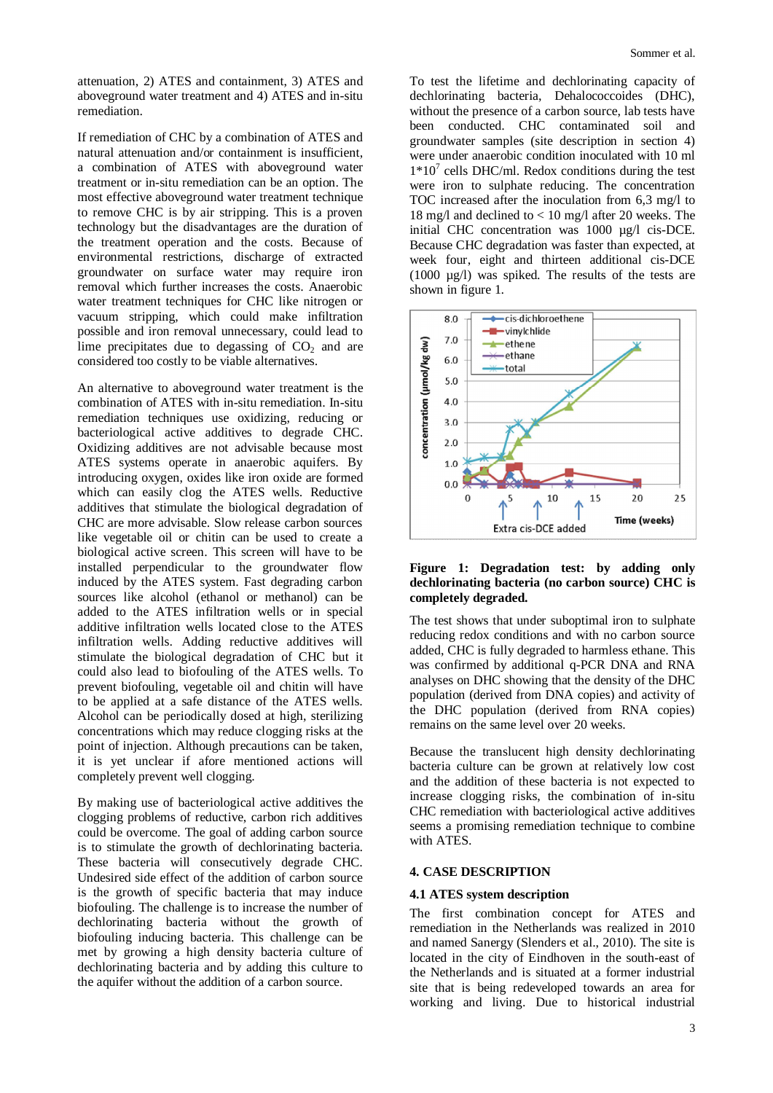attenuation, 2) ATES and containment, 3) ATES and aboveground water treatment and 4) ATES and in-situ remediation.

If remediation of CHC by a combination of ATES and natural attenuation and/or containment is insufficient, a combination of ATES with aboveground water treatment or in-situ remediation can be an option. The most effective aboveground water treatment technique to remove CHC is by air stripping. This is a proven technology but the disadvantages are the duration of the treatment operation and the costs. Because of environmental restrictions, discharge of extracted groundwater on surface water may require iron removal which further increases the costs. Anaerobic water treatment techniques for CHC like nitrogen or vacuum stripping, which could make infiltration possible and iron removal unnecessary, could lead to lime precipitates due to degassing of  $CO<sub>2</sub>$  and are considered too costly to be viable alternatives.

An alternative to aboveground water treatment is the combination of ATES with in-situ remediation. In-situ remediation techniques use oxidizing, reducing or bacteriological active additives to degrade CHC. Oxidizing additives are not advisable because most ATES systems operate in anaerobic aquifers. By introducing oxygen, oxides like iron oxide are formed which can easily clog the ATES wells. Reductive additives that stimulate the biological degradation of CHC are more advisable. Slow release carbon sources like vegetable oil or chitin can be used to create a biological active screen. This screen will have to be installed perpendicular to the groundwater flow induced by the ATES system. Fast degrading carbon sources like alcohol (ethanol or methanol) can be added to the ATES infiltration wells or in special additive infiltration wells located close to the ATES infiltration wells. Adding reductive additives will stimulate the biological degradation of CHC but it could also lead to biofouling of the ATES wells. To prevent biofouling, vegetable oil and chitin will have to be applied at a safe distance of the ATES wells. Alcohol can be periodically dosed at high, sterilizing concentrations which may reduce clogging risks at the point of injection. Although precautions can be taken, it is yet unclear if afore mentioned actions will completely prevent well clogging.

By making use of bacteriological active additives the clogging problems of reductive, carbon rich additives could be overcome. The goal of adding carbon source is to stimulate the growth of dechlorinating bacteria. These bacteria will consecutively degrade CHC. Undesired side effect of the addition of carbon source is the growth of specific bacteria that may induce biofouling. The challenge is to increase the number of dechlorinating bacteria without the growth of biofouling inducing bacteria. This challenge can be met by growing a high density bacteria culture of dechlorinating bacteria and by adding this culture to the aquifer without the addition of a carbon source.

To test the lifetime and dechlorinating capacity of dechlorinating bacteria, Dehalococcoides (DHC), without the presence of a carbon source, lab tests have been conducted. CHC contaminated soil and groundwater samples (site description in section 4) were under anaerobic condition inoculated with 10 ml  $1*10<sup>7</sup>$  cells DHC/ml. Redox conditions during the test were iron to sulphate reducing. The concentration TOC increased after the inoculation from 6,3 mg/l to 18 mg/l and declined to < 10 mg/l after 20 weeks. The initial CHC concentration was 1000 µg/l cis-DCE. Because CHC degradation was faster than expected, at week four, eight and thirteen additional cis-DCE (1000 µg/l) was spiked. The results of the tests are shown in figure 1.



#### **Figure 1: Degradation test: by adding only dechlorinating bacteria (no carbon source) CHC is completely degraded.**

The test shows that under suboptimal iron to sulphate reducing redox conditions and with no carbon source added, CHC is fully degraded to harmless ethane. This was confirmed by additional q-PCR DNA and RNA analyses on DHC showing that the density of the DHC population (derived from DNA copies) and activity of the DHC population (derived from RNA copies) remains on the same level over 20 weeks.

Because the translucent high density dechlorinating bacteria culture can be grown at relatively low cost and the addition of these bacteria is not expected to increase clogging risks, the combination of in-situ CHC remediation with bacteriological active additives seems a promising remediation technique to combine with ATES.

## **4. CASE DESCRIPTION**

#### **4.1 ATES system description**

The first combination concept for ATES and remediation in the Netherlands was realized in 2010 and named Sanergy (Slenders et al., 2010). The site is located in the city of Eindhoven in the south-east of the Netherlands and is situated at a former industrial site that is being redeveloped towards an area for working and living. Due to historical industrial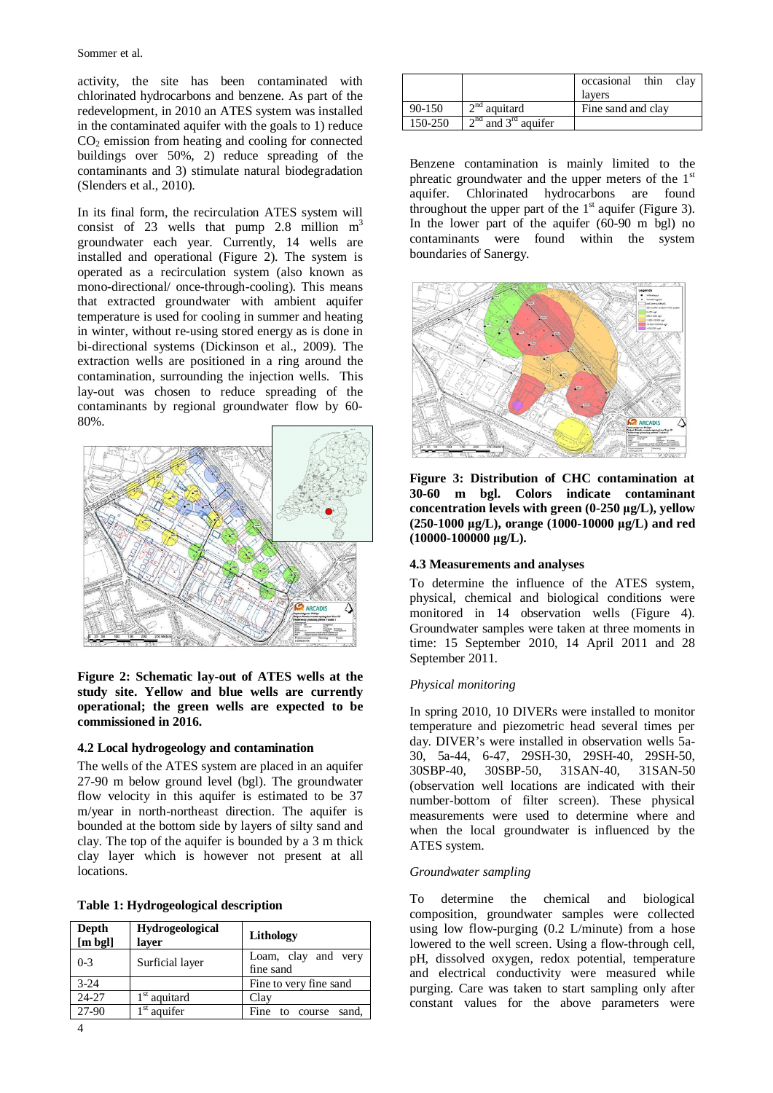activity, the site has been contaminated with chlorinated hydrocarbons and benzene. As part of the redevelopment, in 2010 an ATES system was installed in the contaminated aquifer with the goals to 1) reduce  $CO<sub>2</sub>$  emission from heating and cooling for connected buildings over 50%, 2) reduce spreading of the contaminants and 3) stimulate natural biodegradation (Slenders et al., 2010).

In its final form, the recirculation ATES system will consist of 23 wells that pump 2.8 million  $m<sup>3</sup>$ groundwater each year. Currently, 14 wells are installed and operational (Figure 2). The system is operated as a recirculation system (also known as mono-directional/ once-through-cooling). This means that extracted groundwater with ambient aquifer temperature is used for cooling in summer and heating in winter, without re-using stored energy as is done in bi-directional systems (Dickinson et al., 2009). The extraction wells are positioned in a ring around the contamination, surrounding the injection wells. This lay-out was chosen to reduce spreading of the contaminants by regional groundwater flow by 60- 80%.



**Figure 2: Schematic lay-out of ATES wells at the study site. Yellow and blue wells are currently operational; the green wells are expected to be commissioned in 2016.** 

## **4.2 Local hydrogeology and contamination**

The wells of the ATES system are placed in an aquifer 27-90 m below ground level (bgl). The groundwater flow velocity in this aquifer is estimated to be 37 m/year in north-northeast direction. The aquifer is bounded at the bottom side by layers of silty sand and clay. The top of the aquifer is bounded by a 3 m thick clay layer which is however not present at all locations.

| Table 1: Hydrogeological description |  |
|--------------------------------------|--|
|--------------------------------------|--|

| Depth<br>$[m\;bg]$ | <b>Hydrogeological</b><br>layer | Lithology                        |
|--------------------|---------------------------------|----------------------------------|
| $0 - 3$            | Surficial layer                 | Loam, clay and very<br>fine sand |
| $3-24$             |                                 | Fine to very fine sand           |
| 24-27              | $1st$ aquitard                  | Clay                             |
| 27-90              | st<br>aquifer                   | sand.<br>Fine<br>to course       |

|         |                         | thin<br>occasional<br>clay<br>lavers |
|---------|-------------------------|--------------------------------------|
| 90-150  | $2nd$ aquitard          | Fine sand and clay                   |
| 150-250 | $2nd$ and $3rd$ aquifer |                                      |

Benzene contamination is mainly limited to the phreatic groundwater and the upper meters of the  $1<sup>st</sup>$ aquifer. Chlorinated hydrocarbons are found throughout the upper part of the  $1<sup>st</sup>$  aquifer (Figure 3). In the lower part of the aquifer (60-90 m bgl) no contaminants were found within the system boundaries of Sanergy.



**Figure 3: Distribution of CHC contamination at 30-60 m bgl. Colors indicate contaminant**  concentration levels with green (0-250  $\mu$ g/L), yellow **(250-1000 ȝg/L), orange (1000-10000 ȝg/L) and red (10000-100000 ȝg/L).** 

## **4.3 Measurements and analyses**

To determine the influence of the ATES system, physical, chemical and biological conditions were monitored in 14 observation wells (Figure 4). Groundwater samples were taken at three moments in time: 15 September 2010, 14 April 2011 and 28 September 2011.

#### *Physical monitoring*

In spring 2010, 10 DIVERs were installed to monitor temperature and piezometric head several times per day. DIVER's were installed in observation wells 5a-30, 5a-44, 6-47, 29SH-30, 29SH-40, 29SH-50, 30SBP-40, 30SBP-50, 31SAN-40, 31SAN-50 (observation well locations are indicated with their number-bottom of filter screen). These physical measurements were used to determine where and when the local groundwater is influenced by the ATES system.

## *Groundwater sampling*

To determine the chemical and biological composition, groundwater samples were collected using low flow-purging (0.2 L/minute) from a hose lowered to the well screen. Using a flow-through cell, pH, dissolved oxygen, redox potential, temperature and electrical conductivity were measured while purging. Care was taken to start sampling only after constant values for the above parameters were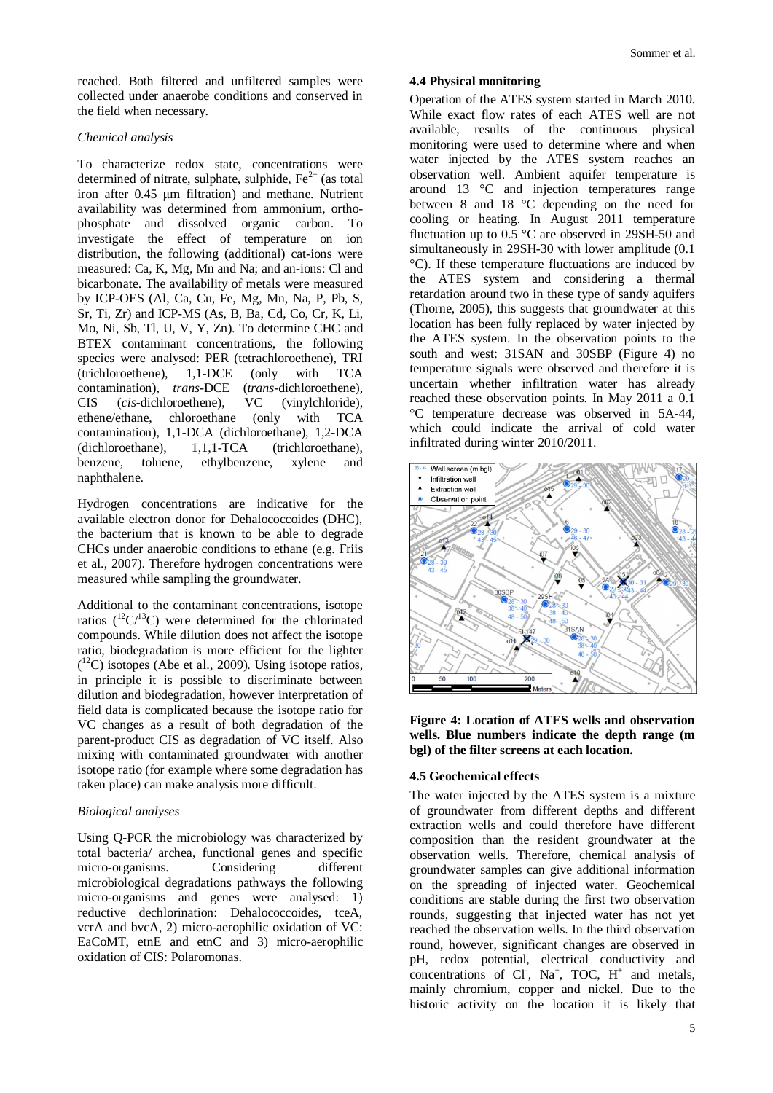reached. Both filtered and unfiltered samples were collected under anaerobe conditions and conserved in the field when necessary.

#### *Chemical analysis*

To characterize redox state, concentrations were determined of nitrate, sulphate, sulphide,  $Fe<sup>2+</sup>$  (as total iron after 0.45 µm filtration) and methane. Nutrient availability was determined from ammonium, orthophosphate and dissolved organic carbon. To investigate the effect of temperature on ion distribution, the following (additional) cat-ions were measured: Ca, K, Mg, Mn and Na; and an-ions: Cl and bicarbonate. The availability of metals were measured by ICP-OES (Al, Ca, Cu, Fe, Mg, Mn, Na, P, Pb, S, Sr, Ti, Zr) and ICP-MS (As, B, Ba, Cd, Co, Cr, K, Li, Mo, Ni, Sb, Tl, U, V, Y, Zn). To determine CHC and BTEX contaminant concentrations, the following species were analysed: PER (tetrachloroethene), TRI (trichloroethene), 1,1-DCE (only with TCA contamination), *trans*-DCE (*trans*-dichloroethene), CIS (*cis*-dichloroethene), VC (vinylchloride), ethene/ethane, chloroethane (only with TCA contamination), 1,1-DCA (dichloroethane), 1,2-DCA (dichloroethane), 1,1,1-TCA (trichloroethane), benzene, toluene, ethylbenzene, xylene and naphthalene.

Hydrogen concentrations are indicative for the available electron donor for Dehalococcoides (DHC), the bacterium that is known to be able to degrade CHCs under anaerobic conditions to ethane (e.g. Friis et al., 2007). Therefore hydrogen concentrations were measured while sampling the groundwater.

Additional to the contaminant concentrations, isotope ratios ( ${}^{12}C/{}^{13}C$ ) were determined for the chlorinated compounds. While dilution does not affect the isotope ratio, biodegradation is more efficient for the lighter  $(^{12}C)$  isotopes (Abe et al., 2009). Using isotope ratios, in principle it is possible to discriminate between dilution and biodegradation, however interpretation of field data is complicated because the isotope ratio for VC changes as a result of both degradation of the parent-product CIS as degradation of VC itself. Also mixing with contaminated groundwater with another isotope ratio (for example where some degradation has taken place) can make analysis more difficult.

#### *Biological analyses*

Using Q-PCR the microbiology was characterized by total bacteria/ archea, functional genes and specific micro-organisms. Considering different microbiological degradations pathways the following micro-organisms and genes were analysed: 1) reductive dechlorination: Dehalococcoides, tceA, vcrA and bvcA, 2) micro-aerophilic oxidation of VC: EaCoMT, etnE and etnC and 3) micro-aerophilic oxidation of CIS: Polaromonas.

#### **4.4 Physical monitoring**

Operation of the ATES system started in March 2010. While exact flow rates of each ATES well are not available, results of the continuous physical monitoring were used to determine where and when water injected by the ATES system reaches an observation well. Ambient aquifer temperature is around 13 °C and injection temperatures range between 8 and 18 °C depending on the need for cooling or heating. In August 2011 temperature fluctuation up to 0.5 °C are observed in 29SH-50 and simultaneously in 29SH-30 with lower amplitude (0.1 °C). If these temperature fluctuations are induced by the ATES system and considering a thermal retardation around two in these type of sandy aquifers (Thorne, 2005), this suggests that groundwater at this location has been fully replaced by water injected by the ATES system. In the observation points to the south and west: 31SAN and 30SBP (Figure 4) no temperature signals were observed and therefore it is uncertain whether infiltration water has already reached these observation points. In May 2011 a 0.1 °C temperature decrease was observed in 5A-44, which could indicate the arrival of cold water infiltrated during winter 2010/2011.



**Figure 4: Location of ATES wells and observation wells. Blue numbers indicate the depth range (m bgl) of the filter screens at each location.** 

### **4.5 Geochemical effects**

The water injected by the ATES system is a mixture of groundwater from different depths and different extraction wells and could therefore have different composition than the resident groundwater at the observation wells. Therefore, chemical analysis of groundwater samples can give additional information on the spreading of injected water. Geochemical conditions are stable during the first two observation rounds, suggesting that injected water has not yet reached the observation wells. In the third observation round, however, significant changes are observed in pH, redox potential, electrical conductivity and concentrations of Cl<sup>-</sup>, Na<sup>+</sup>, TOC, H<sup>+</sup> and metals, mainly chromium, copper and nickel. Due to the historic activity on the location it is likely that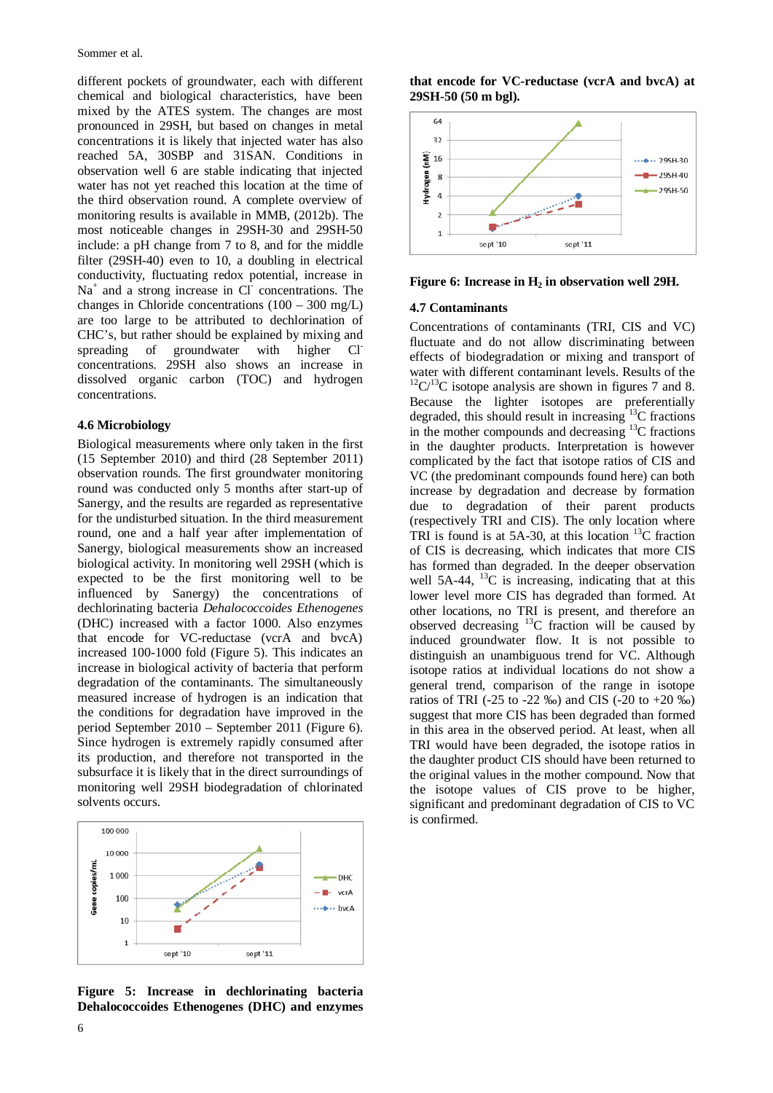different pockets of groundwater, each with different chemical and biological characteristics, have been mixed by the ATES system. The changes are most pronounced in 29SH, but based on changes in metal concentrations it is likely that injected water has also reached 5A, 30SBP and 31SAN. Conditions in observation well 6 are stable indicating that injected water has not yet reached this location at the time of the third observation round. A complete overview of monitoring results is available in MMB, (2012b). The most noticeable changes in 29SH-30 and 29SH-50 include: a pH change from 7 to 8, and for the middle filter (29SH-40) even to 10, a doubling in electrical conductivity, fluctuating redox potential, increase in Na<sup>+</sup> and a strong increase in Cl<sup>-</sup> concentrations. The changes in Chloride concentrations (100 – 300 mg/L) are too large to be attributed to dechlorination of CHC's, but rather should be explained by mixing and spreading of groundwater with higher Cl concentrations. 29SH also shows an increase in dissolved organic carbon (TOC) and hydrogen concentrations.

#### **4.6 Microbiology**

Biological measurements where only taken in the first (15 September 2010) and third (28 September 2011) observation rounds. The first groundwater monitoring round was conducted only 5 months after start-up of Sanergy, and the results are regarded as representative for the undisturbed situation. In the third measurement round, one and a half year after implementation of Sanergy, biological measurements show an increased biological activity. In monitoring well 29SH (which is expected to be the first monitoring well to be influenced by Sanergy) the concentrations of dechlorinating bacteria *Dehalococcoides Ethenogenes* (DHC) increased with a factor 1000. Also enzymes that encode for VC-reductase (vcrA and bvcA) increased 100-1000 fold (Figure 5). This indicates an increase in biological activity of bacteria that perform degradation of the contaminants. The simultaneously measured increase of hydrogen is an indication that the conditions for degradation have improved in the period September 2010 – September 2011 (Figure 6). Since hydrogen is extremely rapidly consumed after its production, and therefore not transported in the subsurface it is likely that in the direct surroundings of monitoring well 29SH biodegradation of chlorinated solvents occurs.



**Figure 5: Increase in dechlorinating bacteria Dehalococcoides Ethenogenes (DHC) and enzymes** 

**that encode for VC-reductase (vcrA and bvcA) at 29SH-50 (50 m bgl).** 



#### **Figure 6: Increase in H2 in observation well 29H.**

#### **4.7 Contaminants**

Concentrations of contaminants (TRI, CIS and VC) fluctuate and do not allow discriminating between effects of biodegradation or mixing and transport of water with different contaminant levels. Results of the  $12^1C^{13}C$  isotope analysis are shown in figures 7 and 8. Because the lighter isotopes are preferentially degraded, this should result in increasing  $^{13}$ C fractions in the mother compounds and decreasing  $^{13}$ C fractions in the daughter products. Interpretation is however complicated by the fact that isotope ratios of CIS and VC (the predominant compounds found here) can both increase by degradation and decrease by formation due to degradation of their parent products (respectively TRI and CIS). The only location where TRI is found is at 5A-30, at this location  ${}^{13}C$  fraction of CIS is decreasing, which indicates that more CIS has formed than degraded. In the deeper observation well  $5A-44$ ,  $^{13}C$  is increasing, indicating that at this lower level more CIS has degraded than formed. At other locations, no TRI is present, and therefore an observed decreasing  $^{13}$ C fraction will be caused by induced groundwater flow. It is not possible to distinguish an unambiguous trend for VC. Although isotope ratios at individual locations do not show a general trend, comparison of the range in isotope ratios of TRI (-25 to -22 ‰) and CIS (-20 to +20 ‰) suggest that more CIS has been degraded than formed in this area in the observed period. At least, when all TRI would have been degraded, the isotope ratios in the daughter product CIS should have been returned to the original values in the mother compound. Now that the isotope values of CIS prove to be higher, significant and predominant degradation of CIS to VC is confirmed.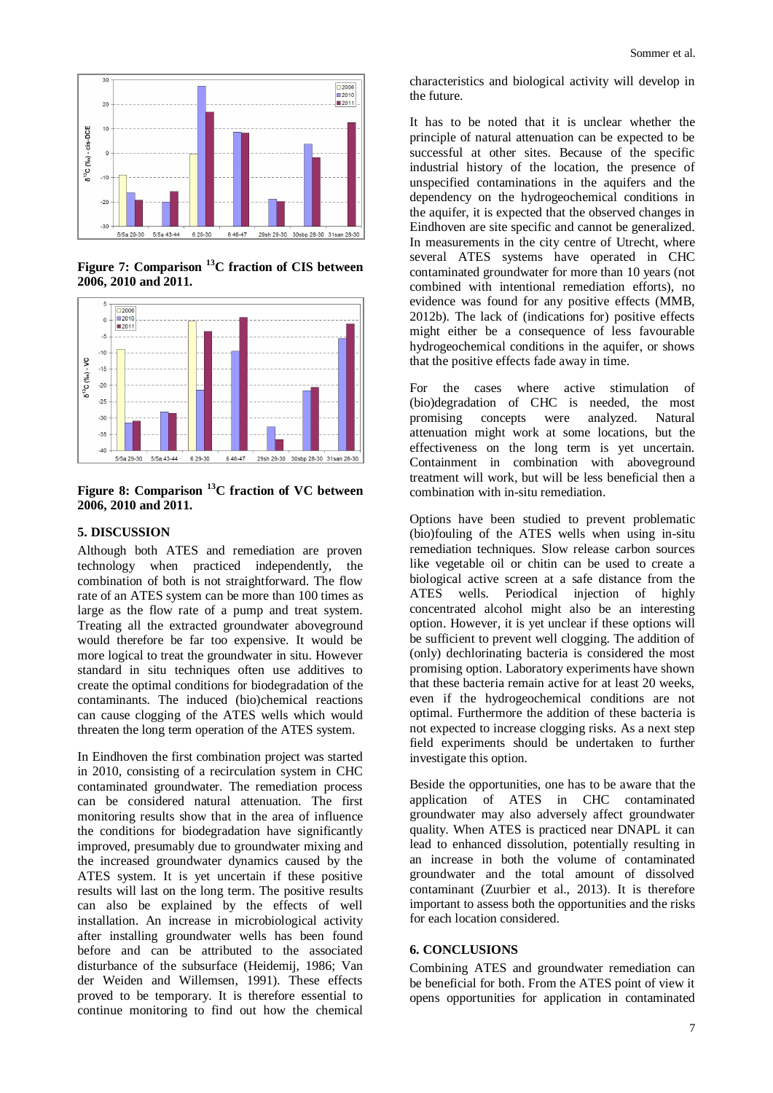

**Figure 7: Comparison <sup>13</sup>C fraction of CIS between 2006, 2010 and 2011.** 



**Figure 8: Comparison <sup>13</sup>C fraction of VC between 2006, 2010 and 2011.** 

## **5. DISCUSSION**

Although both ATES and remediation are proven technology when practiced independently, the combination of both is not straightforward. The flow rate of an ATES system can be more than 100 times as large as the flow rate of a pump and treat system. Treating all the extracted groundwater aboveground would therefore be far too expensive. It would be more logical to treat the groundwater in situ. However standard in situ techniques often use additives to create the optimal conditions for biodegradation of the contaminants. The induced (bio)chemical reactions can cause clogging of the ATES wells which would threaten the long term operation of the ATES system.

In Eindhoven the first combination project was started in 2010, consisting of a recirculation system in CHC contaminated groundwater. The remediation process can be considered natural attenuation. The first monitoring results show that in the area of influence the conditions for biodegradation have significantly improved, presumably due to groundwater mixing and the increased groundwater dynamics caused by the ATES system. It is yet uncertain if these positive results will last on the long term. The positive results can also be explained by the effects of well installation. An increase in microbiological activity after installing groundwater wells has been found before and can be attributed to the associated disturbance of the subsurface (Heidemij, 1986; Van der Weiden and Willemsen, 1991). These effects proved to be temporary. It is therefore essential to continue monitoring to find out how the chemical

characteristics and biological activity will develop in the future.

It has to be noted that it is unclear whether the principle of natural attenuation can be expected to be successful at other sites. Because of the specific industrial history of the location, the presence of unspecified contaminations in the aquifers and the dependency on the hydrogeochemical conditions in the aquifer, it is expected that the observed changes in Eindhoven are site specific and cannot be generalized. In measurements in the city centre of Utrecht, where several ATES systems have operated in CHC contaminated groundwater for more than 10 years (not combined with intentional remediation efforts), no evidence was found for any positive effects (MMB, 2012b). The lack of (indications for) positive effects might either be a consequence of less favourable hydrogeochemical conditions in the aquifer, or shows that the positive effects fade away in time.

For the cases where active stimulation of (bio)degradation of CHC is needed, the most promising concepts were analyzed. Natural attenuation might work at some locations, but the effectiveness on the long term is yet uncertain. Containment in combination with aboveground treatment will work, but will be less beneficial then a combination with in-situ remediation.

Options have been studied to prevent problematic (bio)fouling of the ATES wells when using in-situ remediation techniques. Slow release carbon sources like vegetable oil or chitin can be used to create a biological active screen at a safe distance from the ATES wells. Periodical injection of highly concentrated alcohol might also be an interesting option. However, it is yet unclear if these options will be sufficient to prevent well clogging. The addition of (only) dechlorinating bacteria is considered the most promising option. Laboratory experiments have shown that these bacteria remain active for at least 20 weeks, even if the hydrogeochemical conditions are not optimal. Furthermore the addition of these bacteria is not expected to increase clogging risks. As a next step field experiments should be undertaken to further investigate this option.

Beside the opportunities, one has to be aware that the application of ATES in CHC contaminated groundwater may also adversely affect groundwater quality. When ATES is practiced near DNAPL it can lead to enhanced dissolution, potentially resulting in an increase in both the volume of contaminated groundwater and the total amount of dissolved contaminant (Zuurbier et al., 2013). It is therefore important to assess both the opportunities and the risks for each location considered.

#### **6. CONCLUSIONS**

Combining ATES and groundwater remediation can be beneficial for both. From the ATES point of view it opens opportunities for application in contaminated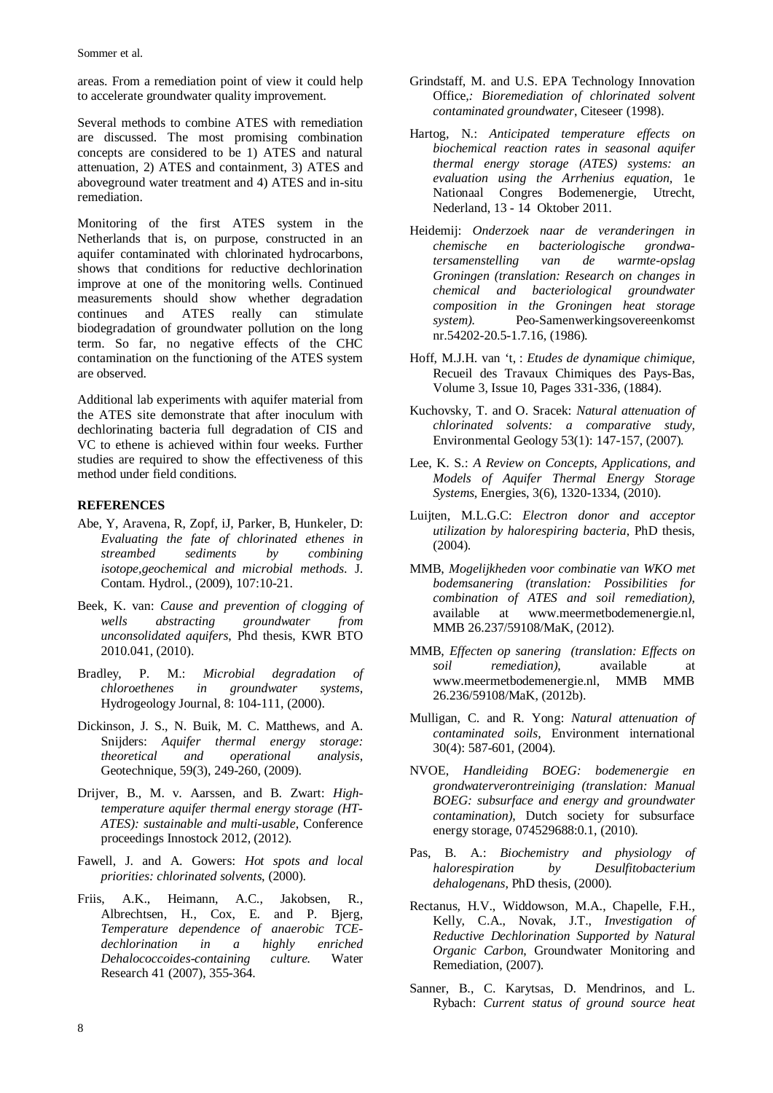Sommer et al.

areas. From a remediation point of view it could help to accelerate groundwater quality improvement.

Several methods to combine ATES with remediation are discussed. The most promising combination concepts are considered to be 1) ATES and natural attenuation, 2) ATES and containment, 3) ATES and aboveground water treatment and 4) ATES and in-situ remediation.

Monitoring of the first ATES system in the Netherlands that is, on purpose, constructed in an aquifer contaminated with chlorinated hydrocarbons, shows that conditions for reductive dechlorination improve at one of the monitoring wells. Continued measurements should show whether degradation continues and ATES really can stimulate biodegradation of groundwater pollution on the long term. So far, no negative effects of the CHC contamination on the functioning of the ATES system are observed.

Additional lab experiments with aquifer material from the ATES site demonstrate that after inoculum with dechlorinating bacteria full degradation of CIS and VC to ethene is achieved within four weeks. Further studies are required to show the effectiveness of this method under field conditions.

## **REFERENCES**

- Abe, Y, Aravena, R, Zopf, iJ, Parker, B, Hunkeler, D: *Evaluating the fate of chlorinated ethenes in streambed sediments by combining isotope,geochemical and microbial methods*. J. Contam. Hydrol., (2009), 107:10-21.
- Beek, K. van: *Cause and prevention of clogging of wells abstracting groundwater from unconsolidated aquifers*, Phd thesis, KWR BTO 2010.041, (2010).
- Bradley, P. M.: *Microbial degradation of chloroethenes in groundwater systems*, Hydrogeology Journal, 8: 104-111, (2000).
- Dickinson, J. S., N. Buik, M. C. Matthews, and A. Snijders: *Aquifer thermal energy storage: theoretical and operational analysis*, Geotechnique, 59(3), 249-260, (2009).
- Drijver, B., M. v. Aarssen, and B. Zwart: *Hightemperature aquifer thermal energy storage (HT-ATES): sustainable and multi-usable*, Conference proceedings Innostock 2012, (2012).
- Fawell, J. and A. Gowers: *Hot spots and local priorities: chlorinated solvents*, (2000).
- Friis, A.K., Heimann, A.C., Jakobsen, R., Albrechtsen, H., Cox, E. and P. Bjerg, *Temperature dependence of anaerobic TCEdechlorination in a highly enriched Dehalococcoides-containing culture.* Water Research 41 (2007), 355-364.
- Grindstaff, M. and U.S. EPA Technology Innovation Office*,: Bioremediation of chlorinated solvent contaminated groundwater*, Citeseer (1998).
- Hartog, N.: *Anticipated temperature effects on biochemical reaction rates in seasonal aquifer thermal energy storage (ATES) systems: an evaluation using the Arrhenius equation,* 1e Nationaal Congres Bodemenergie, Utrecht, Nederland, 13 - 14 Oktober 2011.
- Heidemij: *Onderzoek naar de veranderingen in chemische en bacteriologische grondwatersamenstelling van de warmte-opslag Groningen (translation: Research on changes in chemical and bacteriological groundwater composition in the Groningen heat storage system).* Peo-Samenwerkingsovereenkomst nr.54202-20.5-1.7.16, (1986).
- Hoff, M.J.H. van 't, : *Etudes de dynamique chimique,*  Recueil des Travaux Chimiques des Pays-Bas, Volume 3, Issue 10, Pages 331-336, (1884).
- Kuchovsky, T. and O. Sracek: *Natural attenuation of chlorinated solvents: a comparative study,* Environmental Geology 53(1): 147-157, (2007).
- Lee, K. S.: *A Review on Concepts, Applications, and Models of Aquifer Thermal Energy Storage Systems*, Energies, 3(6), 1320-1334, (2010).
- Luijten, M.L.G.C: *Electron donor and acceptor utilization by halorespiring bacteria*, PhD thesis, (2004).
- MMB, *Mogelijkheden voor combinatie van WKO met bodemsanering (translation: Possibilities for combination of ATES and soil remediation)*, available at www.meermetbodemenergie.nl, MMB 26.237/59108/MaK, (2012).
- MMB, *Effecten op sanering (translation: Effects on soil remediation)*, available at www.meermetbodemenergie.nl, MMB MMB 26.236/59108/MaK, (2012b).
- Mulligan, C. and R. Yong: *Natural attenuation of contaminated soils,* Environment international 30(4): 587-601, (2004).
- NVOE, *Handleiding BOEG: bodemenergie en grondwaterverontreiniging (translation: Manual BOEG: subsurface and energy and groundwater contamination)*, Dutch society for subsurface energy storage, 074529688:0.1, (2010).
- Pas, B. A.: *Biochemistry and physiology of halorespiration by Desulfitobacterium dehalogenans*, PhD thesis, (2000).
- Rectanus, H.V., Widdowson, M.A., Chapelle, F.H., Kelly, C.A., Novak, J.T., *Investigation of Reductive Dechlorination Supported by Natural Organic Carbon*, Groundwater Monitoring and Remediation, (2007).
- Sanner, B., C. Karytsas, D. Mendrinos, and L. Rybach: *Current status of ground source heat*